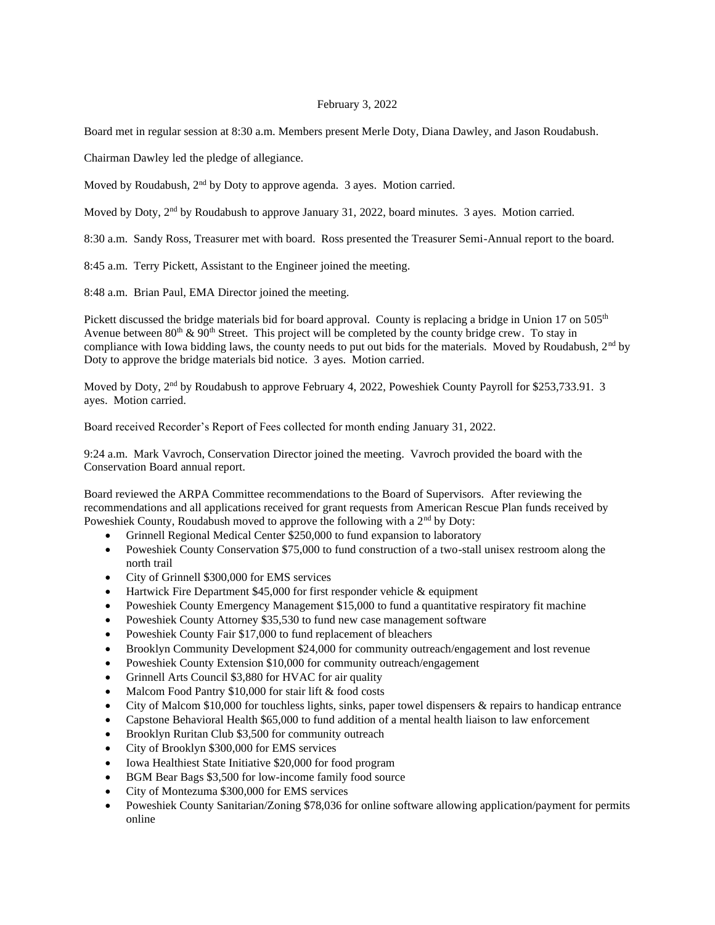## February 3, 2022

Board met in regular session at 8:30 a.m. Members present Merle Doty, Diana Dawley, and Jason Roudabush.

Chairman Dawley led the pledge of allegiance.

Moved by Roudabush, 2<sup>nd</sup> by Doty to approve agenda. 3 ayes. Motion carried.

Moved by Doty, 2<sup>nd</sup> by Roudabush to approve January 31, 2022, board minutes. 3 ayes. Motion carried.

8:30 a.m. Sandy Ross, Treasurer met with board. Ross presented the Treasurer Semi-Annual report to the board.

8:45 a.m. Terry Pickett, Assistant to the Engineer joined the meeting.

8:48 a.m. Brian Paul, EMA Director joined the meeting.

Pickett discussed the bridge materials bid for board approval. County is replacing a bridge in Union 17 on 505<sup>th</sup> Avenue between  $80^{th}$  &  $90^{th}$  Street. This project will be completed by the county bridge crew. To stay in compliance with Iowa bidding laws, the county needs to put out bids for the materials. Moved by Roudabush, 2<sup>nd</sup> by Doty to approve the bridge materials bid notice. 3 ayes. Motion carried.

Moved by Doty, 2<sup>nd</sup> by Roudabush to approve February 4, 2022, Poweshiek County Payroll for \$253,733.91. 3 ayes. Motion carried.

Board received Recorder's Report of Fees collected for month ending January 31, 2022.

9:24 a.m. Mark Vavroch, Conservation Director joined the meeting. Vavroch provided the board with the Conservation Board annual report.

Board reviewed the ARPA Committee recommendations to the Board of Supervisors. After reviewing the recommendations and all applications received for grant requests from American Rescue Plan funds received by Poweshiek County, Roudabush moved to approve the following with a 2<sup>nd</sup> by Doty:

- Grinnell Regional Medical Center \$250,000 to fund expansion to laboratory
- Poweshiek County Conservation \$75,000 to fund construction of a two-stall unisex restroom along the north trail
- City of Grinnell \$300,000 for EMS services
- Hartwick Fire Department \$45,000 for first responder vehicle & equipment
- Poweshiek County Emergency Management \$15,000 to fund a quantitative respiratory fit machine
- Poweshiek County Attorney \$35,530 to fund new case management software
- Poweshiek County Fair \$17,000 to fund replacement of bleachers
- Brooklyn Community Development \$24,000 for community outreach/engagement and lost revenue
- Poweshiek County Extension \$10,000 for community outreach/engagement
- Grinnell Arts Council \$3,880 for HVAC for air quality
- Malcom Food Pantry \$10,000 for stair lift & food costs
- City of Malcom  $$10,000$  for touchless lights, sinks, paper towel dispensers & repairs to handicap entrance
- Capstone Behavioral Health \$65,000 to fund addition of a mental health liaison to law enforcement
- Brooklyn Ruritan Club \$3,500 for community outreach
- City of Brooklyn \$300,000 for EMS services
- Iowa Healthiest State Initiative \$20,000 for food program
- BGM Bear Bags \$3,500 for low-income family food source
- City of Montezuma \$300,000 for EMS services
- Poweshiek County Sanitarian/Zoning \$78,036 for online software allowing application/payment for permits online